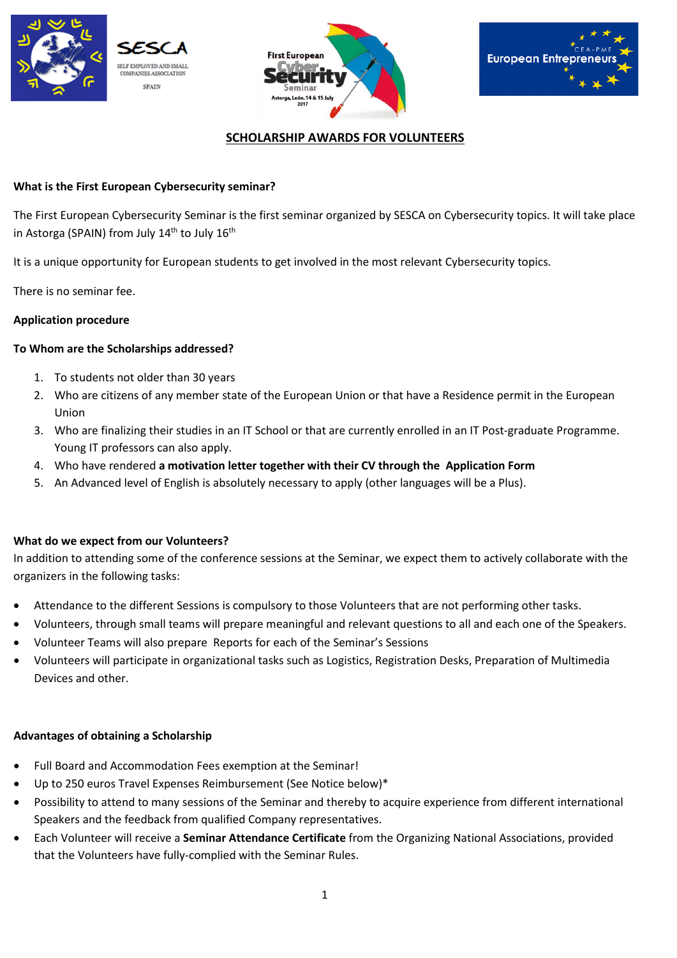





# **SCHOLARSHIP AWARDS FOR VOLUNTEERS**

# **What is the First European Cybersecurity seminar?**

The First European Cybersecurity Seminar is the first seminar organized by SESCA on Cybersecurity topics. It will take place in Astorga (SPAIN) from July  $14<sup>th</sup>$  to July  $16<sup>th</sup>$ 

It is a unique opportunity for European students to get involved in the most relevant Cybersecurity topics.

There is no seminar fee.

## **Application procedure**

## **To Whom are the Scholarships addressed?**

- 1. To students not older than 30 years
- 2. Who are citizens of any member state of the European Union or that have a Residence permit in the European Union
- 3. Who are finalizing their studies in an IT School or that are currently enrolled in an IT Post-graduate Programme. Young IT professors can also apply.
- 4. Who have rendered **a motivation letter together with their CV through the Application Form**
- 5. An Advanced level of English is absolutely necessary to apply (other languages will be a Plus).

#### **What do we expect from our Volunteers?**

In addition to attending some of the conference sessions at the Seminar, we expect them to actively collaborate with the organizers in the following tasks:

- Attendance to the different Sessions is compulsory to those Volunteers that are not performing other tasks.
- Volunteers, through small teams will prepare meaningful and relevant questions to all and each one of the Speakers.
- Volunteer Teams will also prepare Reports for each of the Seminar's Sessions
- Volunteers will participate in organizational tasks such as Logistics, Registration Desks, Preparation of Multimedia Devices and other.

#### **Advantages of obtaining a Scholarship**

- Full Board and Accommodation Fees exemption at the Seminar!
- Up to 250 euros Travel Expenses Reimbursement (See Notice below)\*
- Possibility to attend to many sessions of the Seminar and thereby to acquire experience from different international Speakers and the feedback from qualified Company representatives.
- Each Volunteer will receive a **Seminar Attendance Certificate** from the Organizing National Associations, provided that the Volunteers have fully-complied with the Seminar Rules.